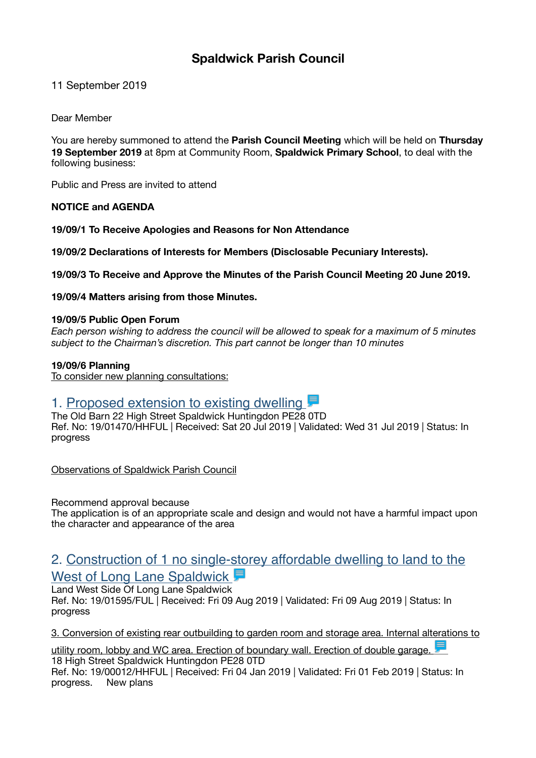## **Spaldwick Parish Council**

11 September 2019

Dear Member

You are hereby summoned to attend the **Parish Council Meeting** which will be held on **Thursday 19 September 2019** at 8pm at Community Room, **Spaldwick Primary School**, to deal with the following business:

Public and Press are invited to attend

#### **NOTICE and AGENDA**

**19/09/1 To Receive Apologies and Reasons for Non Attendance** 

**19/09/2 Declarations of Interests for Members (Disclosable Pecuniary Interests).** 

**19/09/3 To Receive and Approve the Minutes of the Parish Council Meeting 20 June 2019.** 

**19/09/4 Matters arising from those Minutes.** 

#### **19/09/5 Public Open Forum**

*Each person wishing to address the council will be allowed to speak for a maximum of 5 minutes subject to the Chairman's discretion. This part cannot be longer than 10 minutes* 

#### **19/09/6 Planning**

To consider new planning consultations:

## 1. Proposed extension to existing dwelling

The Old Barn 22 High Street Spaldwick Huntingdon PE28 0TD Ref. No: 19/01470/HHFUL | Received: Sat 20 Jul 2019 | Validated: Wed 31 Jul 2019 | Status: In progress

Observations of Spaldwick Parish Council

Recommend approval because

The application is of an appropriate scale and design and would not have a harmful impact upon the character and appearance of the area

# [2. Construction of 1 no single-storey affordable dwelling to land to the](https://publicaccess.huntingdonshire.gov.uk/online-applications/applicationDetails.do?keyVal=PVZ36CIKFKK00&activeTab=summary)

West of Long Lane Spaldwick

Land West Side Of Long Lane Spaldwick Ref. No: 19/01595/FUL | Received: Fri 09 Aug 2019 | Validated: Fri 09 Aug 2019 | Status: In progress

[3. Conversion of existing rear outbuilding to garden room and storage area. Internal alterations to](https://publicaccess.huntingdonshire.gov.uk/online-applications/applicationDetails.do?keyVal=PKSZY2IKIVO00&activeTab=summary) 

[utility room, lobby and WC area. Erection of boundary wall. Erection of double garage.](https://publicaccess.huntingdonshire.gov.uk/online-applications/applicationDetails.do?keyVal=PKSZY2IKIVO00&activeTab=summary)  18 High Street Spaldwick Huntingdon PE28 0TD Ref. No: 19/00012/HHFUL | Received: Fri 04 Jan 2019 | Validated: Fri 01 Feb 2019 | Status: In progress. New plans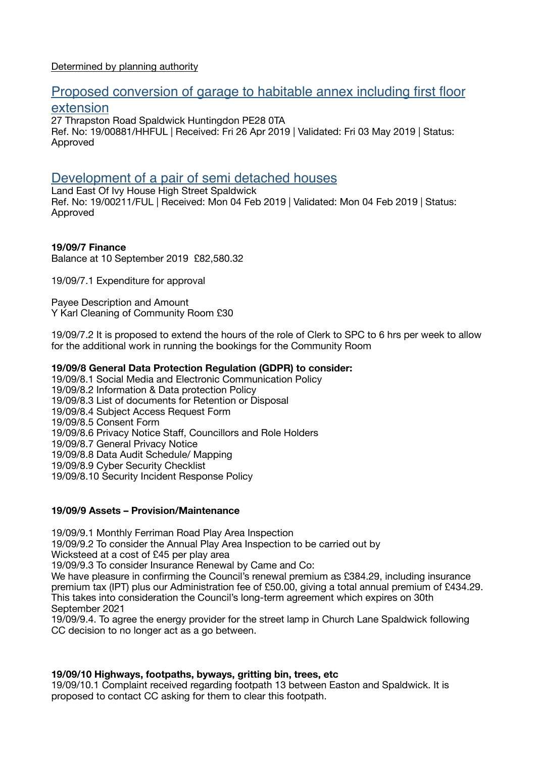#### Determined by planning authority

## [Proposed conversion of garage to habitable annex including first floor](https://publicaccess.huntingdonshire.gov.uk/online-applications/applicationDetails.do?keyVal=PQPVZ2IK0HH00&activeTab=summary)  [extension](https://publicaccess.huntingdonshire.gov.uk/online-applications/applicationDetails.do?keyVal=PQPVZ2IK0HH00&activeTab=summary)

27 Thrapston Road Spaldwick Huntingdon PE28 0TA Ref. No: 19/00881/HHFUL | Received: Fri 26 Apr 2019 | Validated: Fri 03 May 2019 | Status: Approved

### [Development of a pair of semi detached houses](https://publicaccess.huntingdonshire.gov.uk/online-applications/applicationDetails.do?keyVal=PMEN1YIKJGH00&activeTab=summary)

Land East Of Ivy House High Street Spaldwick Ref. No: 19/00211/FUL | Received: Mon 04 Feb 2019 | Validated: Mon 04 Feb 2019 | Status: Approved

#### **19/09/7 Finance**

Balance at 10 September 2019 £82,580.32

19/09/7.1 Expenditure for approval

Payee Description and Amount Y Karl Cleaning of Community Room £30

19/09/7.2 It is proposed to extend the hours of the role of Clerk to SPC to 6 hrs per week to allow for the additional work in running the bookings for the Community Room

#### **19/09/8 General Data Protection Regulation (GDPR) to consider:**

19/09/8.1 Social Media and Electronic Communication Policy 19/09/8.2 Information & Data protection Policy 19/09/8.3 List of documents for Retention or Disposal 19/09/8.4 Subject Access Request Form 19/09/8.5 Consent Form 19/09/8.6 Privacy Notice Staff, Councillors and Role Holders 19/09/8.7 General Privacy Notice 19/09/8.8 Data Audit Schedule/ Mapping 19/09/8.9 Cyber Security Checklist 19/09/8.10 Security Incident Response Policy

#### **19/09/9 Assets – Provision/Maintenance**

19/09/9.1 Monthly Ferriman Road Play Area Inspection

19/09/9.2 To consider the Annual Play Area Inspection to be carried out by

Wicksteed at a cost of £45 per play area

19/09/9.3 To consider Insurance Renewal by Came and Co:

We have pleasure in confirming the Council's renewal premium as £384.29, including insurance premium tax (IPT) plus our Administration fee of £50.00, giving a total annual premium of £434.29. This takes into consideration the Council's long-term agreement which expires on 30th September 2021

19/09/9.4. To agree the energy provider for the street lamp in Church Lane Spaldwick following CC decision to no longer act as a go between.

#### **19/09/10 Highways, footpaths, byways, gritting bin, trees, etc**

19/09/10.1 Complaint received regarding footpath 13 between Easton and Spaldwick. It is proposed to contact CC asking for them to clear this footpath.